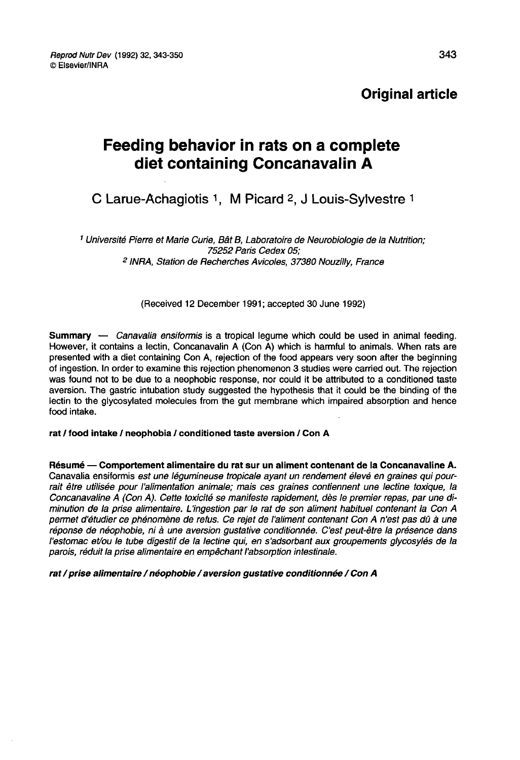# Original article

# Feeding behavior in rats on a complete diet containing Concanavalin A

# C Larue-Achagiotis 1, M Picard 2, J Louis-Sylvestre 1

<sup>1</sup> Université Pierre et Marie Curie, Bât B, Laboratoire de Neurobiologie de la Nutrition; 75252 Paris Cedex 05; <sup>2</sup> INRA, Station de Recherches Avicoles, 37380 Nouzilly, France

(Received 12 December 1991; accepted 30 June 1992)

Summary — Canavalia ensiformis is a tropical legume which could be used in animal feeding. However, it contains a lectin, Concanavalin A (Con A) which is harmful to animals. When rats are presented with a diet containing Con A, rejection of the food appears very soon after the beginning of ingestion. In order to examine this rejection phenomenon 3 studies were carried out. The rejection was found not to be due to a neophobic response, nor could it be attributed to a conditioned taste aversion. The gastric intubation study suggested the hypothesis that it could be the binding of the lectin to the glycosylated molecules from the gut membrane which impaired absorption and hence food intake.

#### rat / food intake / neophobia / conditioned taste aversion / Con A

Résumé ― Comportement alimentaire du rat sur un aliment contenant de la Concanavaline A. Canavalia ensiformis est une légumineuse tropicale ayant un rendement élevé en graines qui pourrait être utilisée pour l'alimentation animale; mais ces graines contiennent une lectine toxique, la Concanavaline A (Con A). Cette toxicité se manifeste rapidement, dès le premier repas, par une diminution de la prise alimentaire. L'ingestion par le rat de son aliment habituel contenant la Con A permet d'étudier ce phénomène de refus. Ce rejet de I aliment contenant Con A n'est pas dû à une réponse de néophobie, ni à une aversion gustative conditionnée. C'est peut-être la présence dans l'estomac et/ou le tube digestif de la lectine qui, en s'adsorbant aux groupements glycosylés de la parois, réduit la prise alimentaire en empêchant l'absorption intestinale.

rat / prise alimentaire / néophobie / aversion gustative conditionnée / Con A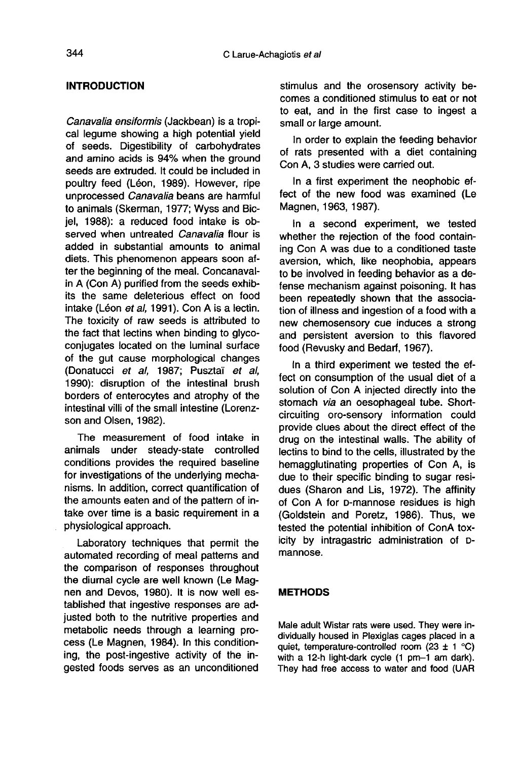# INTRODUCTION

Canavalia ensiformis (Jackbean) is a tropical legume showing a high potential yield of seeds. Digestibility of carbohydrates and amino acids is 94% when the ground seeds are extruded. It could be included in poultry feed (Léon, 1989). However, ripe unprocessed Canavalia beans are harmful to animals (Skerman, 1977; Wyss and Bicjel, 1988): a reduced food intake is observed when untreated Canavalia flour is added in substantial amounts to animal diets. This phenomenon appears soon after the beginning of the meal. Concanavalin A (Con A) purified from the seeds exhibits the same deleterious effect on food intake (Léon et al, 1991). Con A is a lectin. The toxicity of raw seeds is attributed to the fact that lectins when binding to glycoconjugates located on the luminal surface of the gut cause morphological changes (Donatucci et al, 1987; Pusztai et al, 1990): disruption of the intestinal brush borders of enterocytes and atrophy of the intestinal villi of the small intestine (Lorenz son and Olsen, 1982).

The measurement of food intake in animals under steady-state controlled conditions provides the required baseline for investigations of the underlying mechanisms. In addition, correct quantification of the amounts eaten and of the pattern of intake over time is a basic requirement in a physiological approach.

Laboratory techniques that permit the automated recording of meal patterns and the comparison of responses throughout the diurnal cycle are well known (Le Mag nen and Devos, 1980). It is now well established that ingestive responses are adjusted both to the nutritive properties and metabolic needs through a learning process (Le Magnen, 1984). In this conditioning, the post-ingestive activity of the ingested foods serves as an unconditioned

stimulus and the orosensory activity becomes a conditioned stimulus to eat or not to eat, and in the first case to ingest a small or large amount.

In order to explain the feeding behavior of rats presented with a diet containing Con A, 3 studies were carried out.

In a first experiment the neophobic effect of the new food was examined (Le Magnen, 1963, 1987).

In a second experiment, we tested whether the rejection of the food containing Con A was due to a conditioned taste aversion, which, like neophobia, appears to be involved in feeding behavior as a defense mechanism against poisoning. It has been repeatedly shown that the association of illness and ingestion of a food with a new chemosensory cue induces a strong and persistent aversion to this flavored food (Revusky and Bedarf, 1967).

In a third experiment we tested the effect on consumption of the usual diet of a solution of Con A injected directly into the stomach via an oesophageal tube. Shortcircuiting oro-sensory information could provide clues about the direct effect of the drug on the intestinal walls. The ability of lectins to bind to the cells, illustrated by the hemagglutinating properties of Con A, is due to their specific binding to sugar residues (Sharon and Lis, 1972). The affinity<br>of Con A for D-mannose residues is high orig on the intestinal walls. The ability of<br>lectins to bind to the cells, illustrated by the<br>hemagglutinating properties of Con A, is<br>due to their specific binding to sugar resi-<br>dues (Sharon and Lis, 1972). The affinity<br> (Goldstein and Poretz, 1986). Thus, we tested the potential inhibition of ConA toxicity by intragastric administration of Dmannose.

# METHODS

Male adult Wistar rats were used. They were individually housed in Plexiglas cages placed in a quiet, temperature-controlled room (23  $\pm$  1 °C) with a 12-h light-dark cycle (1 pm-1 am dark). They had free access to water and food (UAR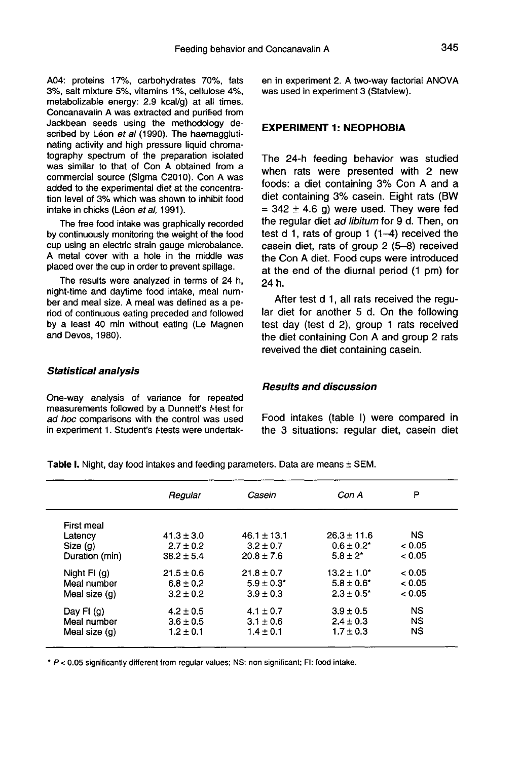A04: proteins 17%, carbohydrates 70%, fats 3%, salt mixture 5%, vitamins 1%, cellulose 4%, metabolizable energy: 2.9 kcal/g) at all times. Concanavalin A was extracted and purified from Jackbean seeds using the methodology described by Léon et al (1990). The haemagglutinating activity and high pressure liquid chromatography spectrum of the preparation isolated was similar to that of Con A obtained from a commercial source (Sigma C2010). Con A was added to the experimental diet at the concentration level of 3% which was shown to inhibit food intake in chicks (Léon et al. 1991).

The free food intake was graphically recorded by continuously monitoring the weight of the food cup using an electric strain gauge microbalance. A metal cover with a hole in the middle was placed over the cup in order to prevent spillage.

The results were analyzed in terms of 24 h, night-time and daytime food intake, meal number and meal size. A meal was defined as a period of continuous eating preceded and followed by a least 40 min without eating (Le Magnen and Devos, 1980).

en in experiment 2. A two-way factorial ANOVA was used in experiment 3 (Statview).

# EXPERIMENT 1: NEOPHOBIA

The 24-h feeding behavior was studied when rats were presented with 2 new foods: a diet containing 3% Con A and a  $=$  342  $\pm$  4.6 g) were used. They were fed the regular diet ad libitum for 9 d. Then, on test d 1, rats of group 1 (1-4) received the casein diet, rats of group 2 (5-8) received the Con A diet. Food cups were introduced at the end of the diurnal period (1 pm) for 24 h.

After test d 1, all rats received the regular diet for another 5 d. On the following test day (test d 2), group 1 rats received the diet containing Con A and group 2 rats reveived the diet containing casein.

#### Statistical analysis

One-way analysis of variance for repeated measurements followed by a Dunnett's t-test for ad hoc comparisons with the control was used in experiment 1. Student's t-tests were undertak-

#### Results and discussion

Food intakes (table I) were compared in the 3 situations: regular diet, casein diet

|                | Regular        | Casein          | Con A            | P         |
|----------------|----------------|-----------------|------------------|-----------|
| First meal     |                |                 |                  |           |
| Latency        | $41.3 \pm 3.0$ | $46.1 \pm 13.1$ | $26.3 \pm 11.6$  | <b>NS</b> |
| Size (g)       | $2.7 \pm 0.2$  | $3.2 \pm 0.7$   | $0.6 \pm 0.2^*$  | < 0.05    |
| Duration (min) | $38.2 \pm 5.4$ | $20.8 \pm 7.6$  | $5.8 + 2^*$      | < 0.05    |
| Night $FI$ (g) | $21.5 \pm 0.6$ | $21.8 \pm 0.7$  | $13.2 \pm 1.0^*$ | < 0.05    |
| Meal number    | $6.8 \pm 0.2$  | $5.9 \pm 0.3'$  | $5.8 \pm 0.6^*$  | < 0.05    |
| Meal size (q)  | $3.2 \pm 0.2$  | $3.9 \pm 0.3$   | $2.3 \pm 0.5^*$  | < 0.05    |
| Day FI $(q)$   | $4.2 \pm 0.5$  | $4.1 \pm 0.7$   | $3.9 \pm 0.5$    | <b>NS</b> |
| Meal number    | $3.6 \pm 0.5$  | $3.1 \pm 0.6$   | $2.4 \pm 0.3$    | <b>NS</b> |
| Meal size (g)  | $1.2 \pm 0.1$  | $1.4 \pm 0.1$   | $1.7 \pm 0.3$    | <b>NS</b> |

Table I. Night, day food intakes and feeding parameters. Data are means ± SEM.

\* P < 0.05 significantly different from regular values; NS: non significant; FI: food intake.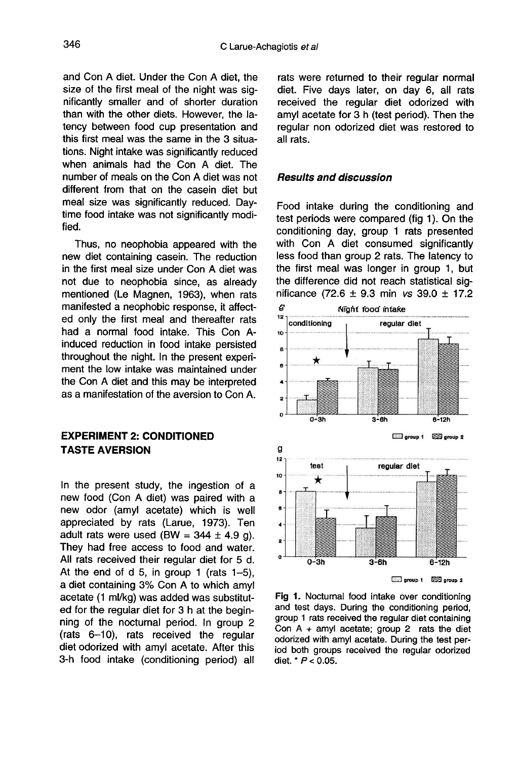and Con A diet. Under the Con A diet, the size of the first meal of the night was significantly smaller and of shorter duration than with the other diets. However, the latency between food cup presentation and this first meal was the same in the 3 situations. Night intake was significantly reduced when animals had the Con A diet. The number of meals on the Con A diet was not different from that on the casein diet but meal size was significantly reduced. Daytime food intake was not significantly modified.

Thus, no neophobia appeared with the new diet containing casein. The reduction in the first meal size under Con A diet was not due to neophobia since, as already mentioned (Le Magnen, 1963), when rats manifested a neophobic response, it affected only the first meal and thereafter rats had a normal food intake. This Con Ainduced reduction in food intake persisted throughout the night. In the present experi ment the low intake was maintained under the Con A diet and this may be interpreted as a manifestation of the aversion to Con A.

# EXPERIMENT 2: CONDITIONED TASTE AVERSION

In the present study, the ingestion of a new food (Con A diet) was paired with a new odor (amyl acetate) which is well appreciated by rats (Larue, 1973). Ten adult rats were used (BW =  $344 \pm 4.9$  g). They had free access to food and water. All rats received their regular diet for 5 d. At the end of d 5, in group 1 (rats 1-5), a diet containing 3% Con A to which amyl acetate (1 ml/kg) was added was substituted for the regular diet for 3 h at the beginning of the nocturnal period. In group 2 (rats 6-10), rats received the regular diet odorized with amyl acetate. After this 3-h food intake (conditioning period) all

rats were returned to their regular normal diet. Five days later, on day 6, all rats received the regular diet odorized with amyl acetate for 3 h (test period). Then the regular non odorized diet was restored to all rats.

## Results and discussion

Food intake during the conditioning and test periods were compared (fig 1). On the conditioning day, group 1 rats presented with Con A diet consumed significantly less food than group 2 rats. The latency to the first meal was longer in group 1, but the difference did not reach statistical significance (72.6  $\pm$  9.3 min vs 39.0  $\pm$  17.2



Fig 1. Nocturnal food intake over conditioning and test days. During the conditioning period, group 1 rats received the regular diet containing Con  $A + amyl$  acetate; group 2 rats the diet odorized with amyl acetate. During the test period both groups received the regular odorized diet. \*  $P < 0.05$ .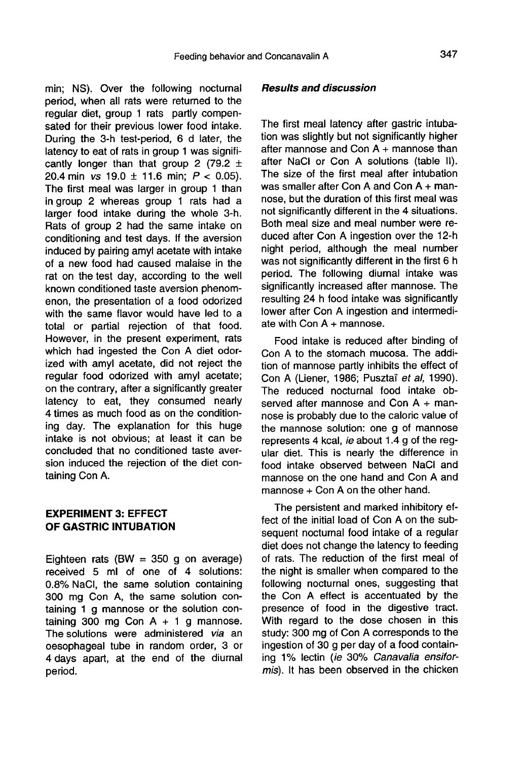min; NS). Over the following nocturnal period, when all rats were returned to the regular diet, group 1 rats partly compensated for their previous lower food intake. During the 3-h test-period, 6 d later, the latency to eat of rats in group 1 was significantly longer than that group 2 (79.2  $\pm$ 20.4 min vs 19.0  $\pm$  11.6 min;  $P < 0.05$ ). The first meal was larger in group 1 than in group 2 whereas group 1 rats had a larger food intake during the whole 3-h. Rats of group 2 had the same intake on conditioning and test days. If the aversion induced by pairing amyl acetate with intake of a new food had caused malaise in the rat on the test day, according to the well known conditioned taste aversion phenomenon, the presentation of a food odorized with the same flavor would have led to a total or partial rejection of that food. However, in the present experiment, rats which had ingested the Con A diet odorized with amyl acetate, did not reject the regular food odorized with amyl acetate; on the contrary, after a significantly greater latency to eat, they consumed nearly 4 times as much food as on the conditioning day. The explanation for this huge intake is not obvious; at least it can be concluded that no conditioned taste aversion induced the rejection of the diet containing Con A.

# EXPERIMENT 3: EFFECT OF GASTRIC INTUBATION

Eighteen rats (BW =  $350$  g on average) received 5 ml of one of 4 solutions: 0.8% NaCl, the same solution containing 300 mg Con A, the same solution containing 1 g mannose or the solution containing 300 mg Con  $A + 1$  g mannose. The solutions were administered via an oesophageal tube in random order, 3 or 4 days apart, at the end of the diurnal period.

#### Results and discussion

The first meal latency after gastric intubation was slightly but not significantly higher after mannose and Con A + mannose than after NaCI or Con A solutions (table II). The size of the first meal after intubation was smaller after Con A and Con A + mannose, but the duration of this first meal was not significantly different in the 4 situations. Both meal size and meal number were reduced after Con A ingestion over the 12-h night period, although the meal number was not significantly different in the first 6 h period. The following diurnal intake was significantly increased after mannose. The resulting 24 h food intake was significantly lower after Con A ingestion and intermediate with  $Con A +$  mannose.

Food intake is reduced after binding of Con A to the stomach mucosa. The addition of mannose partly inhibits the effect of Con A (Liener, 1986; Pusztaï et al, 1990). The reduced nocturnal food intake observed after mannose and Con A + mannose is probably due to the caloric value of the mannose solution: one g of mannose represents 4 kcal, ie about 1.4 g of the regular diet. This is nearly the difference in food intake observed between NaCI and mannose on the one hand and Con A and  $m$ annose  $+$  Con A on the other hand.

The persistent and marked inhibitory effect of the initial load of Con A on the subsequent nocturnal food intake of a regular diet does not change the latency to feeding of rats. The reduction of the first meal of the night is smaller when compared to the following nocturnal ones, suggesting that the Con A effect is accentuated by the presence of food in the digestive tract. With regard to the dose chosen in this study: 300 mg of Con A corresponds to the ingestion of 30 g per day of a food containing 1% lectin (ie 30% Canavalia ensiformis). It has been observed in the chicken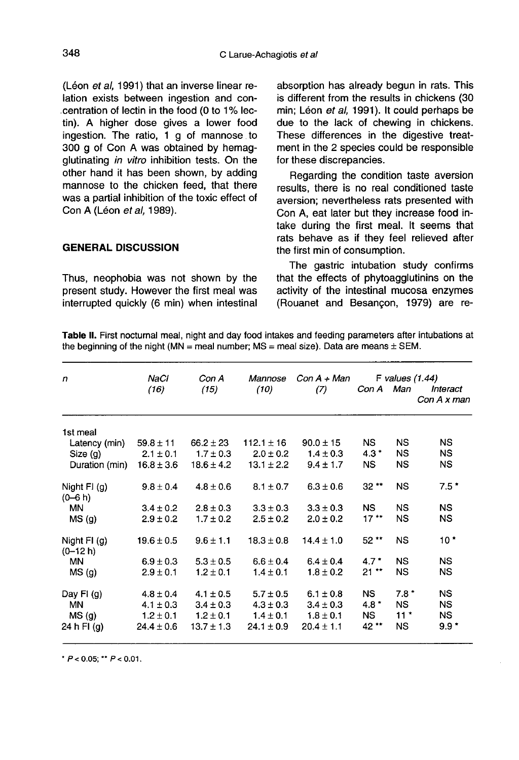(Léon et al, 1991) that an inverse linear relation exists between ingestion and concentration of lectin in the food (0 to 1% lectin). A higher dose gives a lower food ingestion. The ratio, 1 g of mannose to 300 g of Con A was obtained by hemagglutinating in vitro inhibition tests. On the other hand it has been shown, by adding mannose to the chicken feed, that there was a partial inhibition of the toxic effect of Con A (Léon et al, 1989).

# GENERAL DISCUSSION

Thus, neophobia was not shown by the present study. However the first meal was interrupted quickly (6 min) when intestinal absorption has already begun in rats. This is different from the results in chickens (30 min; Léon et al, 1991). It could perhaps be due to the lack of chewing in chickens. These differences in the digestive treatment in the 2 species could be responsible for these discrepancies.

Regarding the condition taste aversion results, there is no real conditioned taste aversion; nevertheless rats presented with Con A, eat later but they increase food intake during the first meal. It seems that rats behave as if they feel relieved after the first min of consumption.

The gastric intubation study confirms that the effects of phytoagglutinins on the activity of the intestinal mucosa enzymes (Rouanet and Besangon, 1979) are re-

Table II. First nocturnal meal, night and day food intakes and feeding parameters after intubations at the beginning of the night (MN = meal number;  $MS$  = meal size). Data are means  $\pm$  SEM.

| $\mathbf n$                   | NaCl                           | Con A                          | Mannose                        | $Con A + Man$                  | F values $(1.44)$ |               |                         |
|-------------------------------|--------------------------------|--------------------------------|--------------------------------|--------------------------------|-------------------|---------------|-------------------------|
|                               | (16)                           | (15)                           | (10)                           | (7)                            | Con A             | Man           | Interact<br>Con A x man |
| 1st meal                      |                                |                                |                                |                                |                   |               |                         |
| Latency (min)                 | $59.8 \pm 11$                  | $66.2 \pm 23$                  | $112.1 \pm 16$                 | $90.0 \pm 15$                  | NS.               | NS.           | <b>NS</b>               |
| Size (g)                      | $2.1 \pm 0.1$                  | $1.7 \pm 0.3$                  | $2.0 \pm 0.2$                  | $1.4 \pm 0.3$                  | $4.3*$            | NS.           | <b>NS</b>               |
| Duration (min)                | $16.8 \pm 3.6$                 | $18.6 \pm 4.2$                 | $13.1 \pm 2.2$                 | $9.4 \pm 1.7$                  | NS.               | <b>NS</b>     | ΝS                      |
| Night $FI$ (g)<br>$(0 - 6 h)$ | $9.8 \pm 0.4$                  | $4.8 \pm 0.6$                  | $8.1 \pm 0.7$                  | $6.3 \pm 0.6$                  | $32**$            | <b>NS</b>     | $7.5*$                  |
| <b>MN</b>                     | $3.4 \pm 0.2$                  | $2.8 \pm 0.3$                  | $3.3 \pm 0.3$                  | $3.3 \pm 0.3$                  | NS.               | <b>NS</b>     | NS.                     |
| MS(g)                         | $2.9 \pm 0.2$                  | $1.7 \pm 0.2$                  | $2.5 \pm 0.2$                  | $2.0 \pm 0.2$                  | $17**$            | <b>NS</b>     | <b>NS</b>               |
| Night $FI$ (g)<br>$(0-12 h)$  | $19.6 \pm 0.5$                 | $9.6 \pm 1.1$                  | $18.3 \pm 0.8$                 | $14.4 \pm 1.0$                 | 52**              | <b>NS</b>     | $10*$                   |
| <b>MN</b>                     | $6.9 \pm 0.3$                  | $5.3 \pm 0.5$                  | $6.6 \pm 0.4$                  | $6.4 \pm 0.4$                  | $4.7*$            | <b>NS</b>     | NS                      |
| MS(g)                         | $2.9 \pm 0.1$                  | $1.2 \pm 0.1$                  | $1.4 \pm 0.1$                  | $1.8 \pm 0.2$                  | $21**$            | <b>NS</b>     | NS.                     |
| Day FI $(g)$<br>MN.           | $4.8 \pm 0.4$<br>$4.1 \pm 0.3$ | $4.1 \pm 0.5$<br>$3.4 \pm 0.3$ | $5.7 \pm 0.5$<br>$4.3 \pm 0.3$ | $6.1 \pm 0.8$<br>$3.4 \pm 0.3$ | NS.<br>$4.8*$     | $7.8*$<br>NS. | NS.<br><b>NS</b>        |
| MS(g)                         | $1.2 \pm 0.1$                  | $1.2 \pm 0.1$                  | $1.4 \pm 0.1$                  | $1.8 \pm 0.1$                  | NS.               | $11*$         | NS.                     |
| 24 h FI (g)                   | $24.4 \pm 0.6$                 | $13.7 \pm 1.3$                 | $24.1 \pm 0.9$                 | $20.4 \pm 1.1$                 | 42 **             | <b>NS</b>     | $9.9*$                  |

\*  $P < 0.05$ ; \*\*  $P < 0.01$ .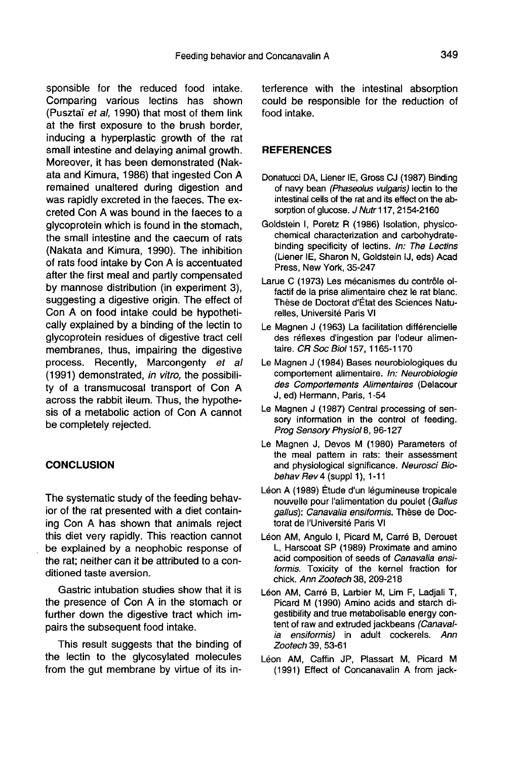sponsible for the reduced food intake. Comparing various lectins has shown (Pusztai et al, 1990) that most of them link at the first exposure to the brush border, inducing a hyperplastic growth of the rat small intestine and delaying animal growth. Moreover, it has been demonstrated (Nakata and Kimura, 1986) that ingested Con A remained unaltered during digestion and was rapidly excreted in the faeces. The excreted Con A was bound in the faeces to a glycoprotein which is found in the stomach, the small intestine and the caecum of rats (Nakata and Kimura, 1990). The inhibition of rats food intake by Con A is accentuated after the first meal and partly compensated by mannose distribution (in experiment 3), suggesting a digestive origin. The effect of Con A on food intake could be hypothetically explained by a binding of the lectin to glycoprotein residues of digestive tract cell membranes, thus, impairing the digestive process. Recently, Marcongenty et al (1991) demonstrated, in vitro, the possibility of a transmucosal transport of Con A across the rabbit ileum. Thus, the hypothesis of a metabolic action of Con A cannot be completely rejected.

## **CONCLUSION**

The systematic study of the feeding behavior of the rat presented with a diet containing Con A has shown that animals reject this diet very rapidly. This reaction cannot be explained by a neophobic response of the rat; neither can it be attributed to a conditioned taste aversion.

Gastric intubation studies show that it is the presence of Con A in the stomach or further down the digestive tract which impairs the subsequent food intake.

This result suggests that the binding of the lectin to the glycosylated molecules from the gut membrane by virtue of its in-

terference with the intestinal absorption could be responsible for the reduction of food intake.

#### **REFERENCES**

- Donatucci DA, Liener IE, Gross CJ (1987) Binding of navy bean (Phaseolus vulgaris) lectin to the intestinal cells of the rat and its effect on the absorption of glucose. J Nutr 117, 2154-2160
- Goldstein I, Poretz R (1986) Isolation, physicochemical characterization and carbohydratebinding specificity of lectins. In: The Lectins (Liener IE, Sharon N, Goldstein IJ, eds) Acad Press, New York, 35-247
- Larue C (1973) Les mécanismes du contrôle olfactif de la prise alimentaire chez le rat blanc. Thèse de Doctorat d'État des Sciences Naturelies, Université Paris VI
- Le Magnen J (1963) La facilitation différencielle des reflexes d'ingestion par l'odeur alimentaire. CR Soc Biol 157, 1165-1170
- Le Magnen J (1984) Bases neurobiologiques du comportement alimentaire. In: Neurobiologie des Comportements Alimentaires (Delacour J, ed) Hermann, Paris, 1-54
- Le Magnen J (1987) Central processing of sensory information in the control of feeding. Prog Sensory Physiol 8, 96-127
- Le Magnen J, Devos M (1980) Parameters of the meal pattern in rats: their assessment and physiological significance. Neurosci Biobehav Rev 4 (suppl 1),  $1-11$
- Léon A (1989) Étude d'un légumineuse tropicale nouvelle pour l'alimentation du poulet (Gallus gallus): Canavalia ensiformis. These de Doctorat de l'Université Paris VI
- Léon AM, Angulo I, Picard M, Carré B, Derouet L, Harscoat SP (1989) Proximate and amino acid composition of seeds of Canavalia ensiformis. Toxicity of the kernel fraction for chick. Ann Zootech 38, 209-218
- Léon AM, Carré B, Larbier M, Lim F, Ladjali T, Picard M (1990) Amino acids and starch digestibility and true metabolisable energy content of raw and extruded jackbeans (Canaval-<br>ia ensiformis) in adult cockerels. Ann ensiformis) in adult cockerels. Ann Zootech 39, 53-61
- Léon AM, Caffin JP, Plassart M, Picard M (1991) Effect of Concanavalin A from jack-